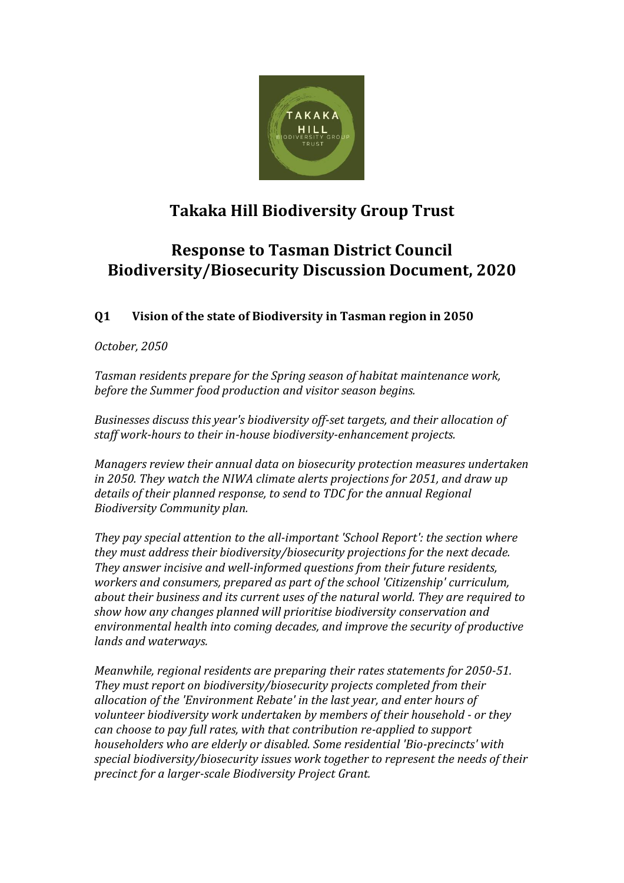

# **Takaka Hill Biodiversity Group Trust**

## **Response to Tasman District Council Biodiversity/Biosecurity Discussion Document, 2020**

### **Q1 Vision of the state of Biodiversity in Tasman region in 2050**

#### *October, 2050*

*Tasman residents prepare for the Spring season of habitat maintenance work, before the Summer food production and visitor season begins.* 

*Businesses discuss this year's biodiversity off-set targets, and their allocation of staff work-hours to their in-house biodiversity-enhancement projects.* 

*Managers review their annual data on biosecurity protection measures undertaken in 2050. They watch the NIWA climate alerts projections for 2051, and draw up details of their planned response, to send to TDC for the annual Regional Biodiversity Community plan.* 

*They pay special attention to the all-important 'School Report': the section where they must address their biodiversity/biosecurity projections for the next decade. They answer incisive and well-informed questions from their future residents, workers and consumers, prepared as part of the school 'Citizenship' curriculum, about their business and its current uses of the natural world. They are required to show how any changes planned will prioritise biodiversity conservation and environmental health into coming decades, and improve the security of productive lands and waterways.*

*Meanwhile, regional residents are preparing their rates statements for 2050-51. They must report on biodiversity/biosecurity projects completed from their allocation of the 'Environment Rebate' in the last year, and enter hours of volunteer biodiversity work undertaken by members of their household - or they can choose to pay full rates, with that contribution re-applied to support householders who are elderly or disabled. Some residential 'Bio-precincts' with special biodiversity/biosecurity issues work together to represent the needs of their precinct for a larger-scale Biodiversity Project Grant.*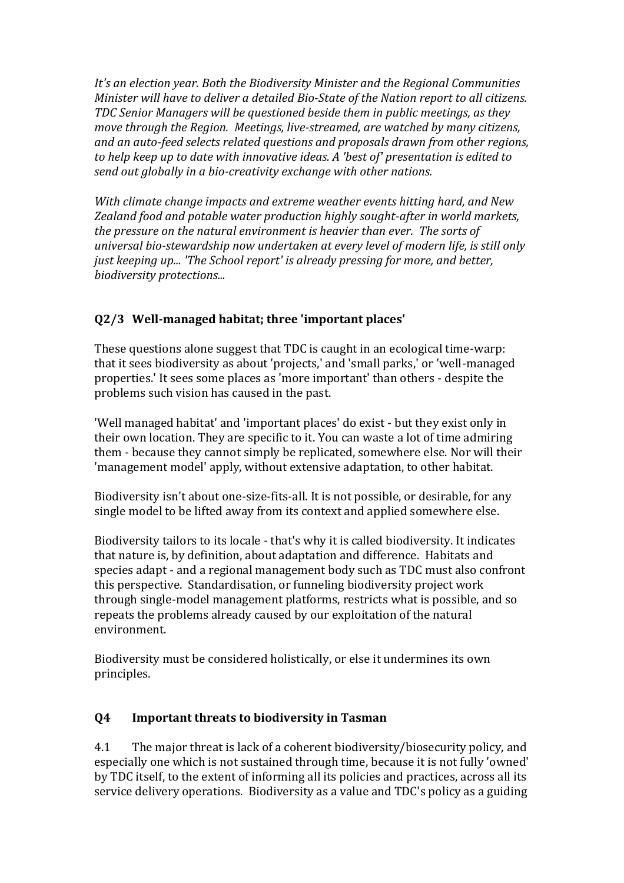*It's an election year. Both the Biodiversity Minister and the Regional Communities Minister will have to deliver a detailed Bio-State of the Nation report to all citizens. TDC Senior Managers will be questioned beside them in public meetings, as they move through the Region. Meetings, live-streamed, are watched by many citizens, and an auto-feed selects related questions and proposals drawn from other regions, to help keep up to date with innovative ideas. A 'best of' presentation is edited to send out globally in a bio-creativity exchange with other nations.* 

*With climate change impacts and extreme weather events hitting hard, and New Zealand food and potable water production highly sought-after in world markets, the pressure on the natural environment is heavier than ever. The sorts of universal bio-stewardship now undertaken at every level of modern life, is still only just keeping up... 'The School report' is already pressing for more, and better, biodiversity protections...* 

### **Q2/3 Well-managed habitat; three 'important places'**

These questions alone suggest that TDC is caught in an ecological time-warp: that it sees biodiversity as about 'projects,' and 'small parks,' or 'well-managed properties.' It sees some places as 'more important' than others - despite the problems such vision has caused in the past.

'Well managed habitat' and 'important places' do exist - but they exist only in their own location. They are specific to it. You can waste a lot of time admiring them - because they cannot simply be replicated, somewhere else. Nor will their 'management model' apply, without extensive adaptation, to other habitat.

Biodiversity isn't about one-size-fits-all. It is not possible, or desirable, for any single model to be lifted away from its context and applied somewhere else.

Biodiversity tailors to its locale - that's why it is called biodiversity. It indicates that nature is, by definition, about adaptation and difference. Habitats and species adapt - and a regional management body such as TDC must also confront this perspective. Standardisation, or funneling biodiversity project work through single-model management platforms, restricts what is possible, and so repeats the problems already caused by our exploitation of the natural environment.

Biodiversity must be considered holistically, or else it undermines its own principles.

#### **Q4 Important threats to biodiversity in Tasman**

4.1 The major threat is lack of a coherent biodiversity/biosecurity policy, and especially one which is not sustained through time, because it is not fully 'owned' by TDC itself, to the extent of informing all its policies and practices, across all its service delivery operations. Biodiversity as a value and TDC's policy as a guiding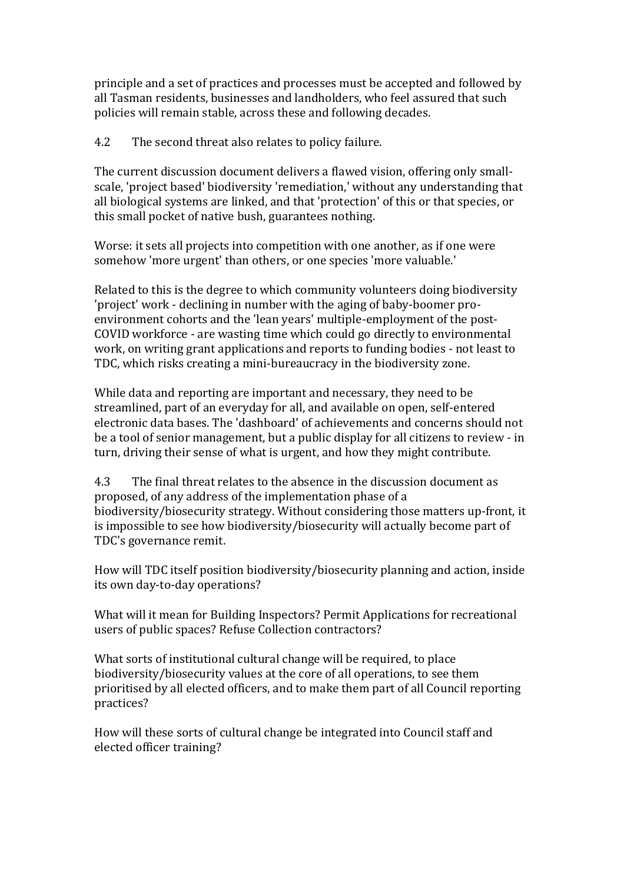principle and a set of practices and processes must be accepted and followed by all Tasman residents, businesses and landholders, who feel assured that such policies will remain stable, across these and following decades.

4.2 The second threat also relates to policy failure.

The current discussion document delivers a flawed vision, offering only smallscale, 'project based' biodiversity 'remediation,' without any understanding that all biological systems are linked, and that 'protection' of this or that species, or this small pocket of native bush, guarantees nothing.

Worse: it sets all projects into competition with one another, as if one were somehow 'more urgent' than others, or one species 'more valuable.'

Related to this is the degree to which community volunteers doing biodiversity 'project' work - declining in number with the aging of baby-boomer proenvironment cohorts and the 'lean years' multiple-employment of the post-COVID workforce - are wasting time which could go directly to environmental work, on writing grant applications and reports to funding bodies - not least to TDC, which risks creating a mini-bureaucracy in the biodiversity zone.

While data and reporting are important and necessary, they need to be streamlined, part of an everyday for all, and available on open, self-entered electronic data bases. The 'dashboard' of achievements and concerns should not be a tool of senior management, but a public display for all citizens to review - in turn, driving their sense of what is urgent, and how they might contribute.

4.3 The final threat relates to the absence in the discussion document as proposed, of any address of the implementation phase of a biodiversity/biosecurity strategy. Without considering those matters up-front, it is impossible to see how biodiversity/biosecurity will actually become part of TDC's governance remit.

How will TDC itself position biodiversity/biosecurity planning and action, inside its own day-to-day operations?

What will it mean for Building Inspectors? Permit Applications for recreational users of public spaces? Refuse Collection contractors?

What sorts of institutional cultural change will be required, to place biodiversity/biosecurity values at the core of all operations, to see them prioritised by all elected officers, and to make them part of all Council reporting practices?

How will these sorts of cultural change be integrated into Council staff and elected officer training?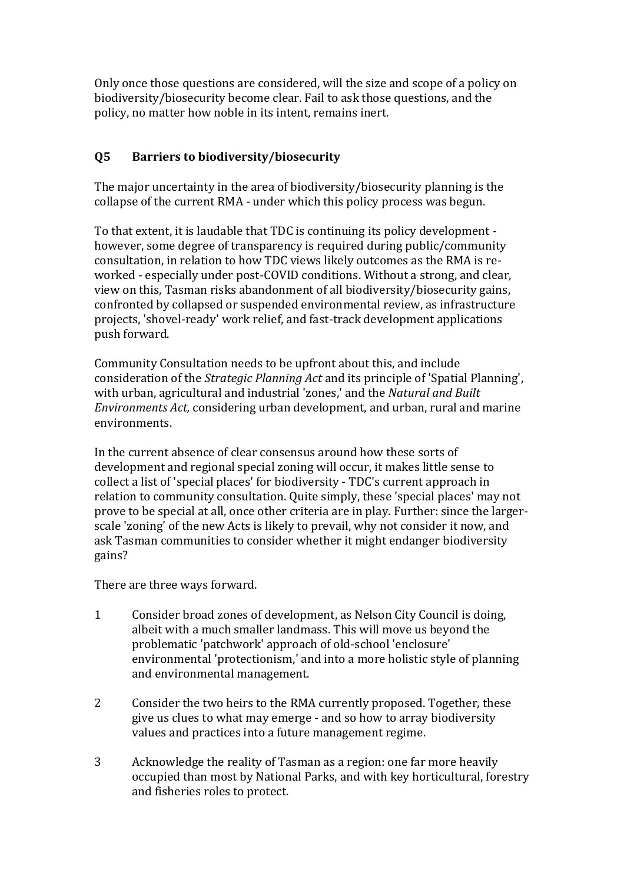Only once those questions are considered, will the size and scope of a policy on biodiversity/biosecurity become clear. Fail to ask those questions, and the policy, no matter how noble in its intent, remains inert.

#### **Q5 Barriers to biodiversity/biosecurity**

The major uncertainty in the area of biodiversity/biosecurity planning is the collapse of the current RMA - under which this policy process was begun.

To that extent, it is laudable that TDC is continuing its policy development however, some degree of transparency is required during public/community consultation, in relation to how TDC views likely outcomes as the RMA is reworked - especially under post-COVID conditions. Without a strong, and clear, view on this, Tasman risks abandonment of all biodiversity/biosecurity gains, confronted by collapsed or suspended environmental review, as infrastructure projects, 'shovel-ready' work relief, and fast-track development applications push forward.

Community Consultation needs to be upfront about this, and include consideration of the *Strategic Planning Act* and its principle of 'Spatial Planning', with urban, agricultural and industrial 'zones,' and the *Natural and Built Environments Act,* considering urban development, and urban, rural and marine environments.

In the current absence of clear consensus around how these sorts of development and regional special zoning will occur, it makes little sense to collect a list of 'special places' for biodiversity - TDC's current approach in relation to community consultation. Quite simply, these 'special places' may not prove to be special at all, once other criteria are in play. Further: since the largerscale 'zoning' of the new Acts is likely to prevail, why not consider it now, and ask Tasman communities to consider whether it might endanger biodiversity gains?

There are three ways forward.

- 1 Consider broad zones of development, as Nelson City Council is doing, albeit with a much smaller landmass. This will move us beyond the problematic 'patchwork' approach of old-school 'enclosure' environmental 'protectionism,' and into a more holistic style of planning and environmental management.
- 2 Consider the two heirs to the RMA currently proposed. Together, these give us clues to what may emerge - and so how to array biodiversity values and practices into a future management regime.
- 3 Acknowledge the reality of Tasman as a region: one far more heavily occupied than most by National Parks, and with key horticultural, forestry and fisheries roles to protect.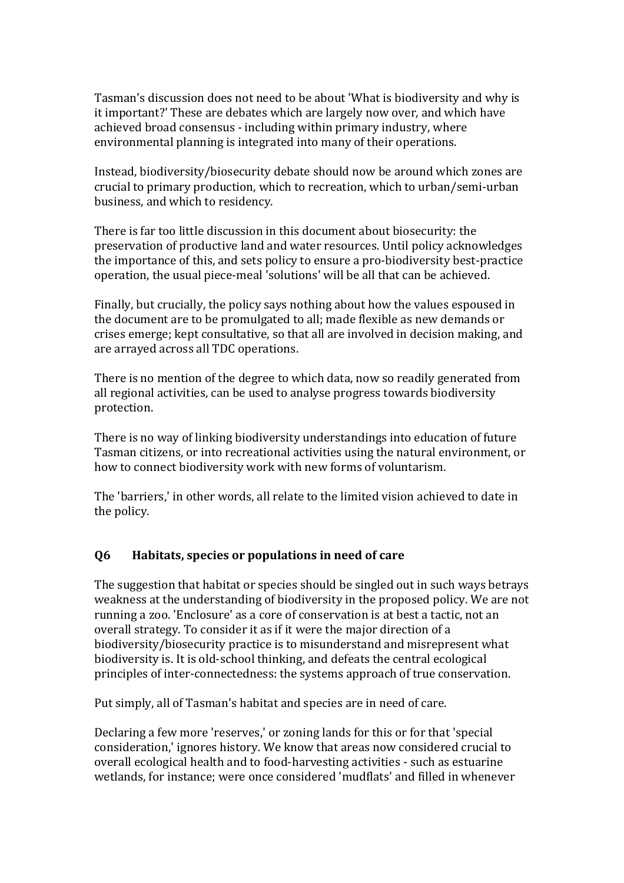Tasman's discussion does not need to be about 'What is biodiversity and why is it important?' These are debates which are largely now over, and which have achieved broad consensus - including within primary industry, where environmental planning is integrated into many of their operations.

Instead, biodiversity/biosecurity debate should now be around which zones are crucial to primary production, which to recreation, which to urban/semi-urban business, and which to residency.

There is far too little discussion in this document about biosecurity: the preservation of productive land and water resources. Until policy acknowledges the importance of this, and sets policy to ensure a pro-biodiversity best-practice operation, the usual piece-meal 'solutions' will be all that can be achieved.

Finally, but crucially, the policy says nothing about how the values espoused in the document are to be promulgated to all; made flexible as new demands or crises emerge; kept consultative, so that all are involved in decision making, and are arrayed across all TDC operations.

There is no mention of the degree to which data, now so readily generated from all regional activities, can be used to analyse progress towards biodiversity protection.

There is no way of linking biodiversity understandings into education of future Tasman citizens, or into recreational activities using the natural environment, or how to connect biodiversity work with new forms of voluntarism.

The 'barriers,' in other words, all relate to the limited vision achieved to date in the policy.

#### **Q6 Habitats, species or populations in need of care**

The suggestion that habitat or species should be singled out in such ways betrays weakness at the understanding of biodiversity in the proposed policy. We are not running a zoo. 'Enclosure' as a core of conservation is at best a tactic, not an overall strategy. To consider it as if it were the major direction of a biodiversity/biosecurity practice is to misunderstand and misrepresent what biodiversity is. It is old-school thinking, and defeats the central ecological principles of inter-connectedness: the systems approach of true conservation.

Put simply, all of Tasman's habitat and species are in need of care.

Declaring a few more 'reserves,' or zoning lands for this or for that 'special consideration,' ignores history. We know that areas now considered crucial to overall ecological health and to food-harvesting activities - such as estuarine wetlands, for instance; were once considered 'mudflats' and filled in whenever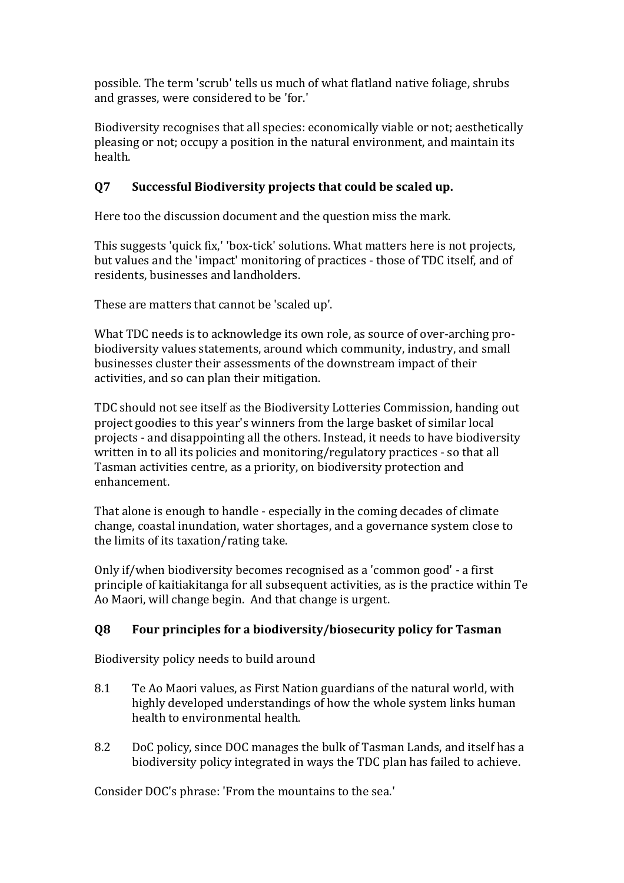possible. The term 'scrub' tells us much of what flatland native foliage, shrubs and grasses, were considered to be 'for.'

Biodiversity recognises that all species: economically viable or not; aesthetically pleasing or not; occupy a position in the natural environment, and maintain its health.

#### **Q7 Successful Biodiversity projects that could be scaled up.**

Here too the discussion document and the question miss the mark.

This suggests 'quick fix,' 'box-tick' solutions. What matters here is not projects, but values and the 'impact' monitoring of practices - those of TDC itself, and of residents, businesses and landholders.

These are matters that cannot be 'scaled up'.

What TDC needs is to acknowledge its own role, as source of over-arching probiodiversity values statements, around which community, industry, and small businesses cluster their assessments of the downstream impact of their activities, and so can plan their mitigation.

TDC should not see itself as the Biodiversity Lotteries Commission, handing out project goodies to this year's winners from the large basket of similar local projects - and disappointing all the others. Instead, it needs to have biodiversity written in to all its policies and monitoring/regulatory practices - so that all Tasman activities centre, as a priority, on biodiversity protection and enhancement.

That alone is enough to handle - especially in the coming decades of climate change, coastal inundation, water shortages, and a governance system close to the limits of its taxation/rating take.

Only if/when biodiversity becomes recognised as a 'common good' - a first principle of kaitiakitanga for all subsequent activities, as is the practice within Te Ao Maori, will change begin. And that change is urgent.

### **Q8 Four principles for a biodiversity/biosecurity policy for Tasman**

Biodiversity policy needs to build around

- 8.1 Te Ao Maori values, as First Nation guardians of the natural world, with highly developed understandings of how the whole system links human health to environmental health.
- 8.2 DoC policy, since DOC manages the bulk of Tasman Lands, and itself has a biodiversity policy integrated in ways the TDC plan has failed to achieve.

Consider DOC's phrase: 'From the mountains to the sea.'